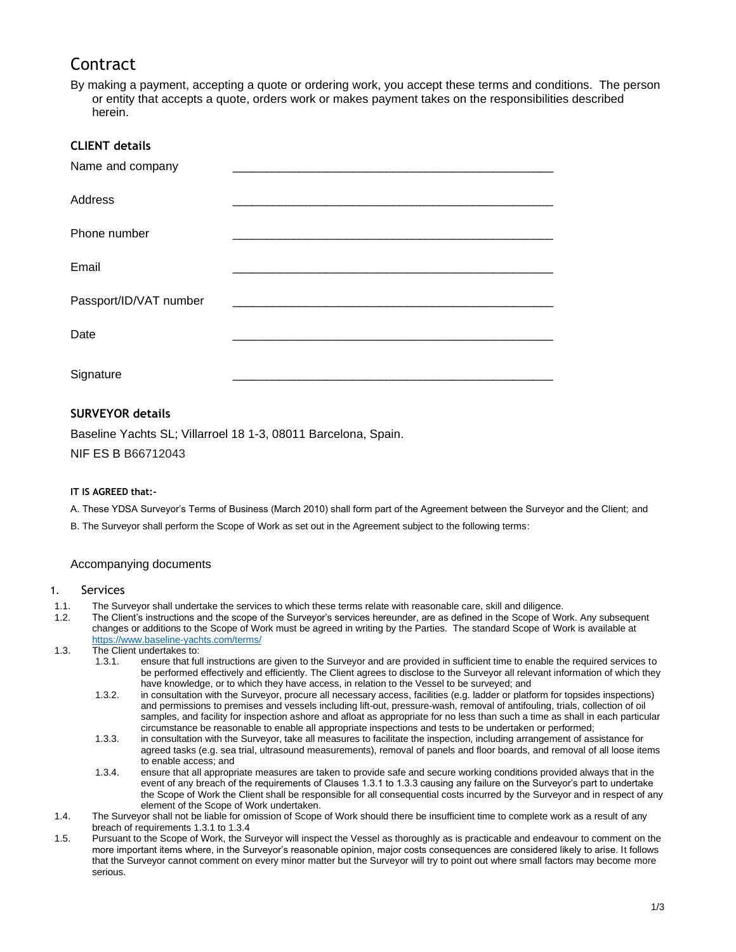# **Contract**

By making a payment, accepting a quote or ordering work, you accept these terms and conditions. The person or entity that accepts a quote, orders work or makes payment takes on the responsibilities described herein.

| <b>CLIENT details</b>  |  |
|------------------------|--|
| Name and company       |  |
| Address                |  |
| Phone number           |  |
| Email                  |  |
| Passport/ID/VAT number |  |
| Date                   |  |
| Signature              |  |

## **SURVEYOR details**

Baseline Yachts SL; Villarroel 18 1-3, 08011 Barcelona, Spain.

NIF ES B B66712043

## **IT IS AGREED that:-**

A. These YDSA Surveyor's Terms of Business (March 2010) shall form part of the Agreement between the Surveyor and the Client; and

B. The Surveyor shall perform the Scope of Work as set out in the Agreement subject to the following terms:

## Accompanying documents

#### 1. Services

- 1.1. The Surveyor shall undertake the services to which these terms relate with reasonable care, skill and diligence.
- 1.2. The Client's instructions and the scope of the Surveyor's services hereunder, are as defined in the Scope of Work. Any subsequent changes or additions to the Scope of Work must be agreed in writing by the Parties. The standard Scope of Work is available at <https://www.baseline-yachts.com/terms/>
- 1.3. The Client undertakes to:
	- 1.3.1. ensure that full instructions are given to the Surveyor and are provided in sufficient time to enable the required services to be performed effectively and efficiently. The Client agrees to disclose to the Surveyor all relevant information of which they have knowledge, or to which they have access, in relation to the Vessel to be surveyed; and
	- 1.3.2. in consultation with the Surveyor, procure all necessary access, facilities (e.g. ladder or platform for topsides inspections) and permissions to premises and vessels including lift-out, pressure-wash, removal of antifouling, trials, collection of oil samples, and facility for inspection ashore and afloat as appropriate for no less than such a time as shall in each particular circumstance be reasonable to enable all appropriate inspections and tests to be undertaken or performed;
	- 1.3.3. in consultation with the Surveyor, take all measures to facilitate the inspection, including arrangement of assistance for agreed tasks (e.g. sea trial, ultrasound measurements), removal of panels and floor boards, and removal of all loose items to enable access; and
	- 1.3.4. ensure that all appropriate measures are taken to provide safe and secure working conditions provided always that in the event of any breach of the requirements of Clauses 1.3.1 to 1.3.3 causing any failure on the Surveyor's part to undertake the Scope of Work the Client shall be responsible for all consequential costs incurred by the Surveyor and in respect of any element of the Scope of Work undertaken.
- 1.4. The Surveyor shall not be liable for omission of Scope of Work should there be insufficient time to complete work as a result of any breach of requirements 1.3.1 to 1.3.4
- 1.5. Pursuant to the Scope of Work, the Surveyor will inspect the Vessel as thoroughly as is practicable and endeavour to comment on the more important items where, in the Surveyor's reasonable opinion, major costs consequences are considered likely to arise. It follows that the Surveyor cannot comment on every minor matter but the Surveyor will try to point out where small factors may become more serious.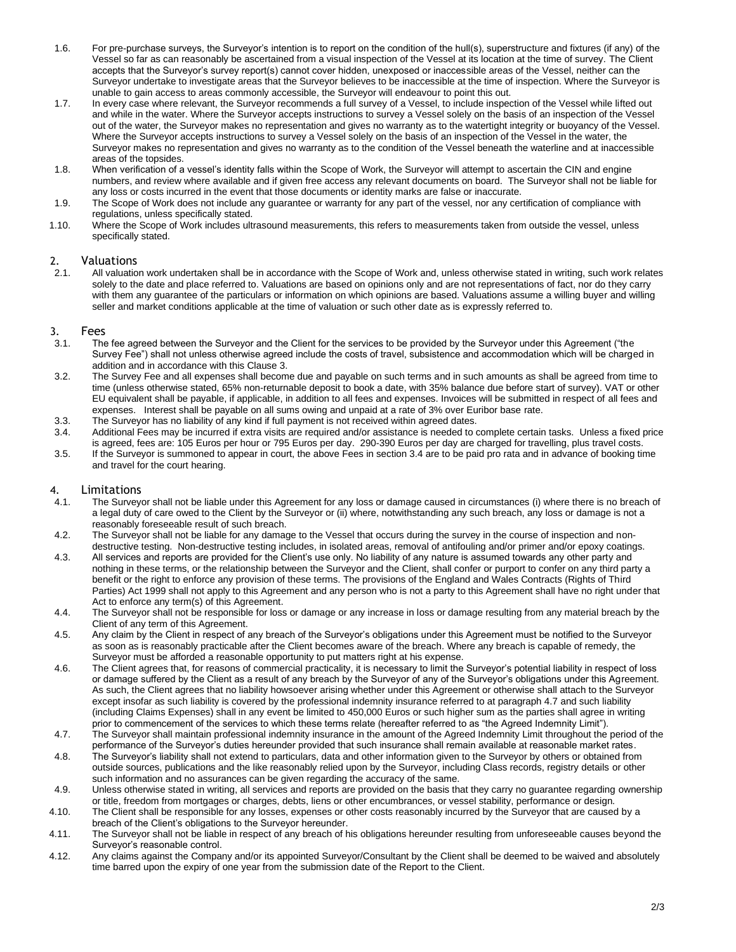- 1.6. For pre-purchase surveys, the Surveyor's intention is to report on the condition of the hull(s), superstructure and fixtures (if any) of the Vessel so far as can reasonably be ascertained from a visual inspection of the Vessel at its location at the time of survey. The Client accepts that the Surveyor's survey report(s) cannot cover hidden, unexposed or inaccessible areas of the Vessel, neither can the Surveyor undertake to investigate areas that the Surveyor believes to be inaccessible at the time of inspection. Where the Surveyor is unable to gain access to areas commonly accessible, the Surveyor will endeavour to point this out.
- 1.7. In every case where relevant, the Surveyor recommends a full survey of a Vessel, to include inspection of the Vessel while lifted out and while in the water. Where the Surveyor accepts instructions to survey a Vessel solely on the basis of an inspection of the Vessel out of the water, the Surveyor makes no representation and gives no warranty as to the watertight integrity or buoyancy of the Vessel. Where the Surveyor accepts instructions to survey a Vessel solely on the basis of an inspection of the Vessel in the water, the Surveyor makes no representation and gives no warranty as to the condition of the Vessel beneath the waterline and at inaccessible areas of the topsides.
- 1.8. When verification of a vessel's identity falls within the Scope of Work, the Surveyor will attempt to ascertain the CIN and engine numbers, and review where available and if given free access any relevant documents on board. The Surveyor shall not be liable for any loss or costs incurred in the event that those documents or identity marks are false or inaccurate.
- 1.9. The Scope of Work does not include any guarantee or warranty for any part of the vessel, nor any certification of compliance with regulations, unless specifically stated.
- 1.10. Where the Scope of Work includes ultrasound measurements, this refers to measurements taken from outside the vessel, unless specifically stated.

#### 2. Valuations

2.1. All valuation work undertaken shall be in accordance with the Scope of Work and, unless otherwise stated in writing, such work relates solely to the date and place referred to. Valuations are based on opinions only and are not representations of fact, nor do they carry with them any guarantee of the particulars or information on which opinions are based. Valuations assume a willing buyer and willing seller and market conditions applicable at the time of valuation or such other date as is expressly referred to.

#### 3. Fees

- 3.1. The fee agreed between the Surveyor and the Client for the services to be provided by the Surveyor under this Agreement ("the Survey Fee") shall not unless otherwise agreed include the costs of travel, subsistence and accommodation which will be charged in addition and in accordance with this Clause 3.
- 3.2. The Survey Fee and all expenses shall become due and payable on such terms and in such amounts as shall be agreed from time to time (unless otherwise stated, 65% non-returnable deposit to book a date, with 35% balance due before start of survey). VAT or other EU equivalent shall be payable, if applicable, in addition to all fees and expenses. Invoices will be submitted in respect of all fees and expenses. Interest shall be payable on all sums owing and unpaid at a rate of 3% over Euribor base rate.
- 3.3. The Surveyor has no liability of any kind if full payment is not received within agreed dates.
- 3.4. Additional Fees may be incurred if extra visits are required and/or assistance is needed to complete certain tasks. Unless a fixed price is agreed, fees are: 105 Euros per hour or 795 Euros per day. 290-390 Euros per day are charged for travelling, plus travel costs. 3.5. If the Surveyor is summoned to appear in court, the above Fees in section 3.4 are to be paid pro rata and in advance of booking time
- and travel for the court hearing.

#### 4. Limitations

- 4.1. The Surveyor shall not be liable under this Agreement for any loss or damage caused in circumstances (i) where there is no breach of a legal duty of care owed to the Client by the Surveyor or (ii) where, notwithstanding any such breach, any loss or damage is not a reasonably foreseeable result of such breach.
- 4.2. The Surveyor shall not be liable for any damage to the Vessel that occurs during the survey in the course of inspection and nondestructive testing. Non-destructive testing includes, in isolated areas, removal of antifouling and/or primer and/or epoxy coatings.
- 4.3. All services and reports are provided for the Client's use only. No liability of any nature is assumed towards any other party and nothing in these terms, or the relationship between the Surveyor and the Client, shall confer or purport to confer on any third party a benefit or the right to enforce any provision of these terms. The provisions of the England and Wales Contracts (Rights of Third Parties) Act 1999 shall not apply to this Agreement and any person who is not a party to this Agreement shall have no right under that Act to enforce any term(s) of this Agreement.
- 4.4. The Surveyor shall not be responsible for loss or damage or any increase in loss or damage resulting from any material breach by the Client of any term of this Agreement.
- 4.5. Any claim by the Client in respect of any breach of the Surveyor's obligations under this Agreement must be notified to the Surveyor as soon as is reasonably practicable after the Client becomes aware of the breach. Where any breach is capable of remedy, the Surveyor must be afforded a reasonable opportunity to put matters right at his expense.
- 4.6. The Client agrees that, for reasons of commercial practicality, it is necessary to limit the Surveyor's potential liability in respect of loss or damage suffered by the Client as a result of any breach by the Surveyor of any of the Surveyor's obligations under this Agreement. As such, the Client agrees that no liability howsoever arising whether under this Agreement or otherwise shall attach to the Surveyor except insofar as such liability is covered by the professional indemnity insurance referred to at paragraph 4.7 and such liability (including Claims Expenses) shall in any event be limited to 450,000 Euros or such higher sum as the parties shall agree in writing prior to commencement of the services to which these terms relate (hereafter referred to as "the Agreed Indemnity Limit").
- 4.7. The Surveyor shall maintain professional indemnity insurance in the amount of the Agreed Indemnity Limit throughout the period of the performance of the Surveyor's duties hereunder provided that such insurance shall remain available at reasonable market rates.
- 4.8. The Surveyor's liability shall not extend to particulars, data and other information given to the Surveyor by others or obtained from outside sources, publications and the like reasonably relied upon by the Surveyor, including Class records, registry details or other such information and no assurances can be given regarding the accuracy of the same.
- 4.9. Unless otherwise stated in writing, all services and reports are provided on the basis that they carry no guarantee regarding ownership or title, freedom from mortgages or charges, debts, liens or other encumbrances, or vessel stability, performance or design.
- 4.10. The Client shall be responsible for any losses, expenses or other costs reasonably incurred by the Surveyor that are caused by a breach of the Client's obligations to the Surveyor hereunder.
- 4.11. The Surveyor shall not be liable in respect of any breach of his obligations hereunder resulting from unforeseeable causes beyond the Surveyor's reasonable control.
- 4.12. Any claims against the Company and/or its appointed Surveyor/Consultant by the Client shall be deemed to be waived and absolutely time barred upon the expiry of one year from the submission date of the Report to the Client.